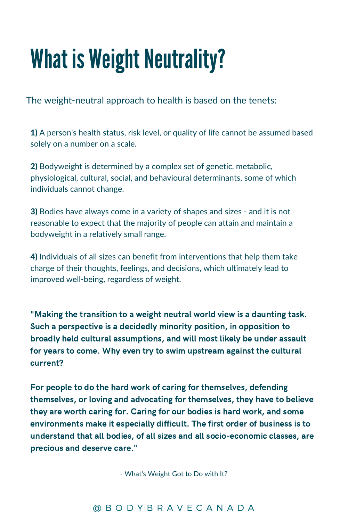## What is Weight Neutrality?

The weight-neutral approach to health is based on the tenets:

1) A person's health status, risk level, or quality of life cannot be assumed based solely on a number on a scale.

2) Bodyweight is determined by a complex set of genetic, metabolic, physiological, cultural, social, and behavioural determinants, some of which individuals cannot change.

3) Bodies have always come in a variety of shapes and sizes - and it is not reasonable to expect that the majority of people can attain and maintain a bodyweight in a relatively small range.

4) Individuals of all sizes can benefit from interventions that help them take charge of their thoughts, feelings, and decisions, which ultimately lead to improved well-being, regardless of weight.

"Making the transition to a weight neutral world view is a daunting task. Such a perspective is a decidedly minority position, in opposition to broadly held cultural assumptions, and will most likely be under assault for years to come. Why even try to swim upstream against the cultural current?

For people to do the hard work of caring for themselves, defending themselves, or loving and advocating for themselves, they have to believe they are worth caring for. Caring for our bodies is hard work, and some environments make it especially difficult. The first order of business is to understand that all bodies, of all sizes and all socio-economic classes, are precious and deserve care."

- What's Weight Got to Do with It?

### @ B O D Y B R A V E C A N A D A